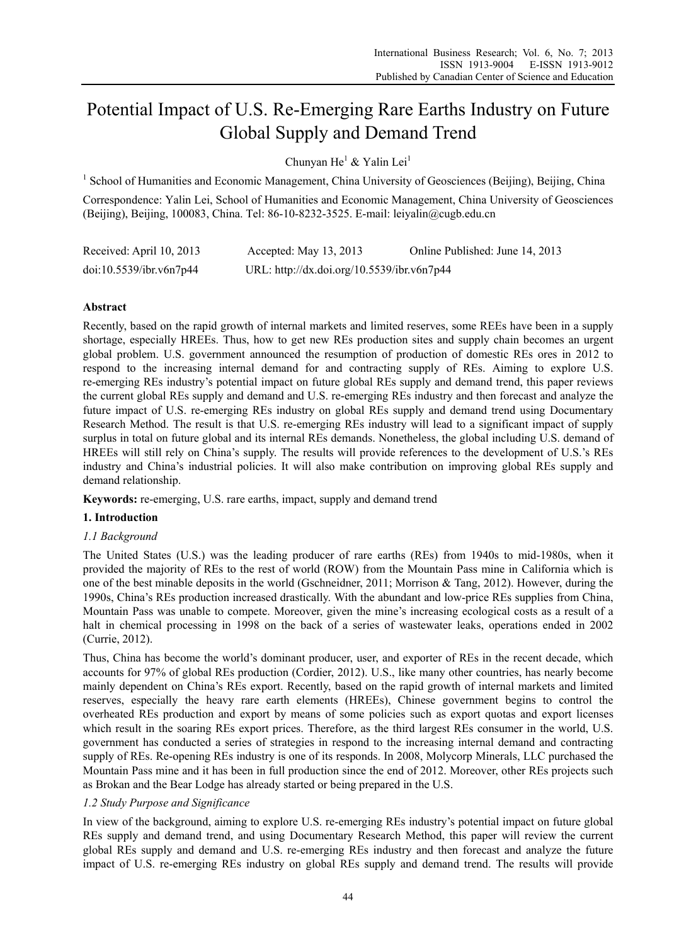# Potential Impact of U.S. Re-Emerging Rare Earths Industry on Future Global Supply and Demand Trend

Chunyan He<sup>1</sup> & Yalin Lei<sup>1</sup>

<sup>1</sup> School of Humanities and Economic Management, China University of Geosciences (Beijing), Beijing, China

Correspondence: Yalin Lei, School of Humanities and Economic Management, China University of Geosciences (Beijing), Beijing, 100083, China. Tel: 86-10-8232-3525. E-mail: leiyalin@cugb.edu.cn

| Received: April 10, 2013 | Accepted: May $13, 2013$                   | Online Published: June 14, 2013 |
|--------------------------|--------------------------------------------|---------------------------------|
| doi:10.5539/ibr.v6n7p44  | URL: http://dx.doi.org/10.5539/ibr.v6n7p44 |                                 |

## **Abstract**

Recently, based on the rapid growth of internal markets and limited reserves, some REEs have been in a supply shortage, especially HREEs. Thus, how to get new REs production sites and supply chain becomes an urgent global problem. U.S. government announced the resumption of production of domestic REs ores in 2012 to respond to the increasing internal demand for and contracting supply of REs. Aiming to explore U.S. re-emerging REs industry's potential impact on future global REs supply and demand trend, this paper reviews the current global REs supply and demand and U.S. re-emerging REs industry and then forecast and analyze the future impact of U.S. re-emerging REs industry on global REs supply and demand trend using Documentary Research Method. The result is that U.S. re-emerging REs industry will lead to a significant impact of supply surplus in total on future global and its internal REs demands. Nonetheless, the global including U.S. demand of HREEs will still rely on China's supply. The results will provide references to the development of U.S.'s REs industry and China's industrial policies. It will also make contribution on improving global REs supply and demand relationship.

**Keywords:** re-emerging, U.S. rare earths, impact, supply and demand trend

## **1. Introduction**

# *1.1 Background*

The United States (U.S.) was the leading producer of rare earths (REs) from 1940s to mid-1980s, when it provided the majority of REs to the rest of world (ROW) from the Mountain Pass mine in California which is one of the best minable deposits in the world (Gschneidner, 2011; Morrison & Tang, 2012). However, during the 1990s, China's REs production increased drastically. With the abundant and low-price REs supplies from China, Mountain Pass was unable to compete. Moreover, given the mine's increasing ecological costs as a result of a halt in chemical processing in 1998 on the back of a series of wastewater leaks, operations ended in 2002 (Currie, 2012).

Thus, China has become the world's dominant producer, user, and exporter of REs in the recent decade, which accounts for 97% of global REs production (Cordier, 2012). U.S., like many other countries, has nearly become mainly dependent on China's REs export. Recently, based on the rapid growth of internal markets and limited reserves, especially the heavy rare earth elements (HREEs), Chinese government begins to control the overheated REs production and export by means of some policies such as export quotas and export licenses which result in the soaring REs export prices. Therefore, as the third largest REs consumer in the world, U.S. government has conducted a series of strategies in respond to the increasing internal demand and contracting supply of REs. Re-opening REs industry is one of its responds. In 2008, Molycorp Minerals, LLC purchased the Mountain Pass mine and it has been in full production since the end of 2012. Moreover, other REs projects such as Brokan and the Bear Lodge has already started or being prepared in the U.S.

## *1.2 Study Purpose and Significance*

In view of the background, aiming to explore U.S. re-emerging REs industry's potential impact on future global REs supply and demand trend, and using Documentary Research Method, this paper will review the current global REs supply and demand and U.S. re-emerging REs industry and then forecast and analyze the future impact of U.S. re-emerging REs industry on global REs supply and demand trend. The results will provide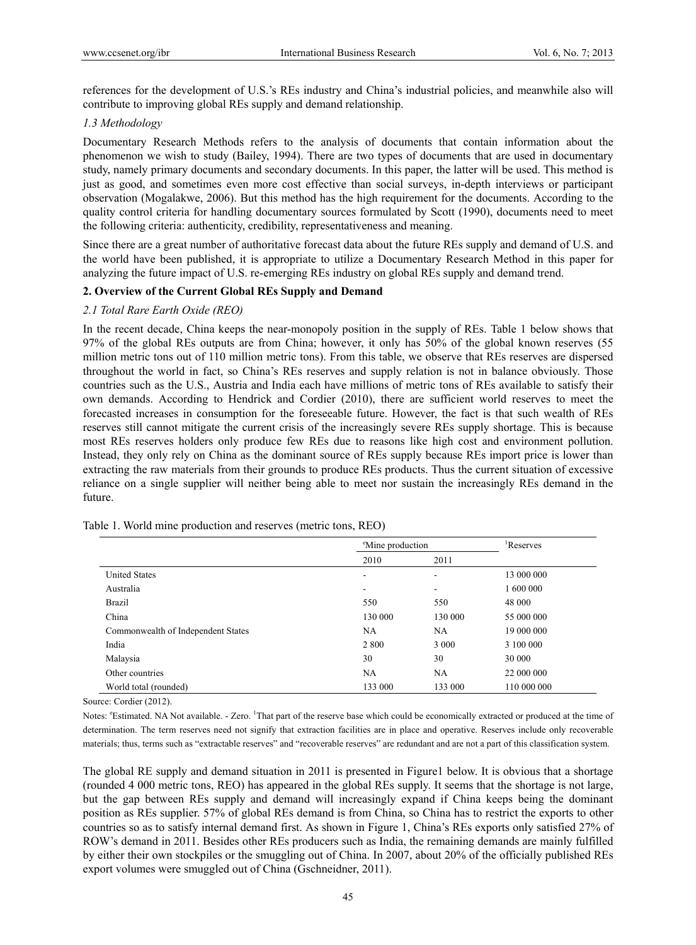references for the development of U.S.'s REs industry and China's industrial policies, and meanwhile also will contribute to improving global REs supply and demand relationship.

## *1.3 Methodology*

Documentary Research Methods refers to the analysis of documents that contain information about the phenomenon we wish to study (Bailey, 1994). There are two types of documents that are used in documentary study, namely primary documents and secondary documents. In this paper, the latter will be used. This method is just as good, and sometimes even more cost effective than social surveys, in-depth interviews or participant observation (Mogalakwe, 2006). But this method has the high requirement for the documents. According to the quality control criteria for handling documentary sources formulated by Scott (1990), documents need to meet the following criteria: authenticity, credibility, representativeness and meaning.

Since there are a great number of authoritative forecast data about the future REs supply and demand of U.S. and the world have been published, it is appropriate to utilize a Documentary Research Method in this paper for analyzing the future impact of U.S. re-emerging REs industry on global REs supply and demand trend.

## **2. Overview of the Current Global REs Supply and Demand**

## *2.1 Total Rare Earth Oxide (REO)*

In the recent decade, China keeps the near-monopoly position in the supply of REs. Table 1 below shows that 97% of the global REs outputs are from China; however, it only has 50% of the global known reserves (55 million metric tons out of 110 million metric tons). From this table, we observe that REs reserves are dispersed throughout the world in fact, so China's REs reserves and supply relation is not in balance obviously. Those countries such as the U.S., Austria and India each have millions of metric tons of REs available to satisfy their own demands. According to Hendrick and Cordier (2010), there are sufficient world reserves to meet the forecasted increases in consumption for the foreseeable future. However, the fact is that such wealth of REs reserves still cannot mitigate the current crisis of the increasingly severe REs supply shortage. This is because most REs reserves holders only produce few REs due to reasons like high cost and environment pollution. Instead, they only rely on China as the dominant source of REs supply because REs import price is lower than extracting the raw materials from their grounds to produce REs products. Thus the current situation of excessive reliance on a single supplier will neither being able to meet nor sustain the increasingly REs demand in the future.

|                                    | <sup>e</sup> Mine production |                              | <sup>1</sup> Reserves |  |
|------------------------------------|------------------------------|------------------------------|-----------------------|--|
|                                    | 2010                         | 2011                         |                       |  |
| <b>United States</b>               | ۰                            | ۰                            | 13 000 000            |  |
| Australia                          |                              | $\qquad \qquad \blacksquare$ | 1 600 000             |  |
| Brazil                             | 550                          | 550                          | 48 000                |  |
| China                              | 130 000                      | 130 000                      | 55 000 000            |  |
| Commonwealth of Independent States | NA.                          | NA                           | 19 000 000            |  |
| India                              | 2 8 0 0                      | 3 0 0 0                      | 3 100 000             |  |
| Malaysia                           | 30                           | 30                           | 30 000                |  |
| Other countries                    | NA                           | NA                           | 22 000 000            |  |
| World total (rounded)              | 133 000                      | 133 000                      | 110 000 000           |  |

Table 1. World mine production and reserves (metric tons, REO)

Source: Cordier (2012).

Notes: "Estimated. NA Not available. - Zero. <sup>1</sup>That part of the reserve base which could be economically extracted or produced at the time of determination. The term reserves need not signify that extraction facilities are in place and operative. Reserves include only recoverable materials; thus, terms such as "extractable reserves" and "recoverable reserves" are redundant and are not a part of this classification system.

The global RE supply and demand situation in 2011 is presented in Figure1 below. It is obvious that a shortage (rounded 4 000 metric tons, REO) has appeared in the global REs supply. It seems that the shortage is not large, but the gap between REs supply and demand will increasingly expand if China keeps being the dominant position as REs supplier. 57% of global REs demand is from China, so China has to restrict the exports to other countries so as to satisfy internal demand first. As shown in Figure 1, China's REs exports only satisfied 27% of ROW's demand in 2011. Besides other REs producers such as India, the remaining demands are mainly fulfilled by either their own stockpiles or the smuggling out of China. In 2007, about 20% of the officially published REs export volumes were smuggled out of China (Gschneidner, 2011).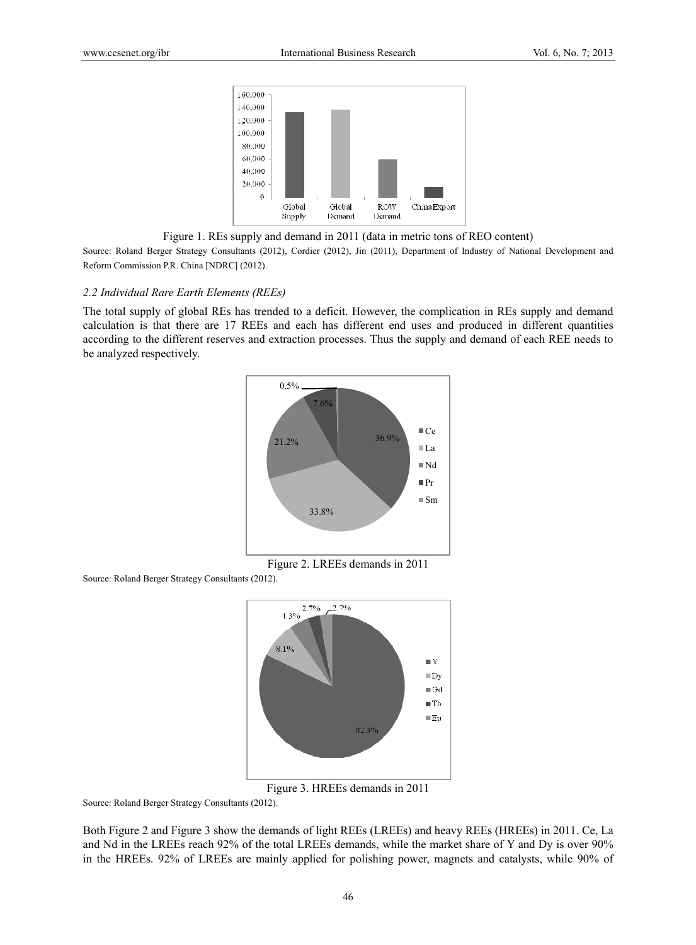

Figure 1. REs supply and demand in 2011 (data in metric tons of REO content)

Source: Roland Berger Strategy Consultants (2012), Cordier (2012), Jin (2011), Department of Industry of National Development and Reform Commission P.R. China [NDRC] (2012).

#### 2.2 Individual Rare Earth Elements (REEs)

The total supply of global REs has trended to a deficit. However, the complication in REs supply and demand calculation is that there are 17 REEs and each has different end uses and produced in different quantities according to the different reserves and extraction processes. Thus the supply and demand of each REE needs to be analyzed respectively.



Figure 2. LREEs demands in 2011

Source: Roland Berger Strategy Consultants (2012).



Figure 3. HR REEs demands in 2011

Source: Roland Berger Strategy Consultants (2012).

Both Figure 2 and Figure 3 show the demands of light REEs (LREEs) and heavy REEs (HREEs) in 2011. Ce, La and Nd in the LREEs reach 92% of the total LREEs demands, while the market share of Y and Dy is over 90% in the HREEs. 92% of LREEs are mainly applied for polishing power, magnets and catalysts, while 90% of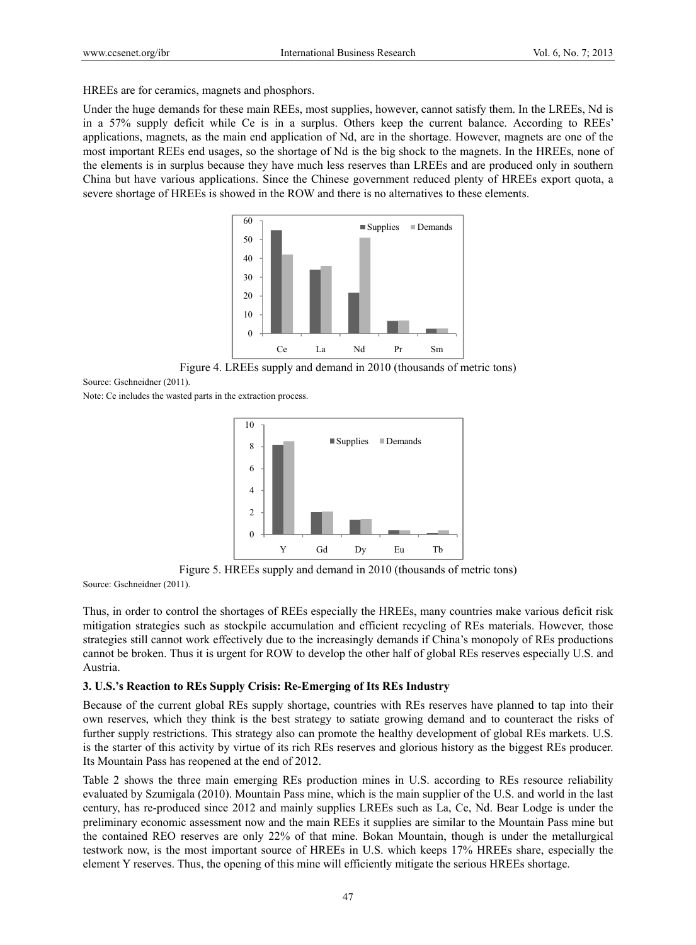HREEs are for ceramics, magnets and phosphors.

Under the huge demands for these main REEs, most supplies, however, cannot satisfy them. In the LREEs, Nd is in a 57% supply deficit while Ce is in a surplus. Others keep the current balance. According to REEs' applications, magnets, as the main end application of Nd, are in the shortage. However, magnets are one of the most important REEs end usages, so the shortage of Nd is the big shock to the magnets. In the HREEs, none of the elements is in surplus because they have much less reserves than LREEs and are produced only in southern China but have various applications. Since the Chinese government reduced plenty of HREEs export quota, a severe shortage of HREEs is showed in the ROW and there is no alternatives to these elements.



Figure 4. LREEs supply and demand in 2010 (thousands of metric tons)

Source: Gschneidner (2011).

Note: Ce includes the wasted parts in the extraction process.



Figure 5. HREEs supply and demand in 2010 (thousands of metric tons) Source: Gschneidner (2011).

Thus, in order to control the shortages of REEs especially the HREEs, many countries make various deficit risk mitigation strategies such as stockpile accumulation and efficient recycling of REs materials. However, those strategies still cannot work effectively due to the increasingly demands if China's monopoly of REs productions cannot be broken. Thus it is urgent for ROW to develop the other half of global REs reserves especially U.S. and Austria.

#### **3. U.S.'s Reaction to REs Supply Crisis: Re-Emerging of Its REs Industry**

Because of the current global REs supply shortage, countries with REs reserves have planned to tap into their own reserves, which they think is the best strategy to satiate growing demand and to counteract the risks of further supply restrictions. This strategy also can promote the healthy development of global REs markets. U.S. is the starter of this activity by virtue of its rich REs reserves and glorious history as the biggest REs producer. Its Mountain Pass has reopened at the end of 2012.

Table 2 shows the three main emerging REs production mines in U.S. according to REs resource reliability evaluated by Szumigala (2010). Mountain Pass mine, which is the main supplier of the U.S. and world in the last century, has re-produced since 2012 and mainly supplies LREEs such as La, Ce, Nd. Bear Lodge is under the preliminary economic assessment now and the main REEs it supplies are similar to the Mountain Pass mine but the contained REO reserves are only 22% of that mine. Bokan Mountain, though is under the metallurgical testwork now, is the most important source of HREEs in U.S. which keeps 17% HREEs share, especially the element Y reserves. Thus, the opening of this mine will efficiently mitigate the serious HREEs shortage.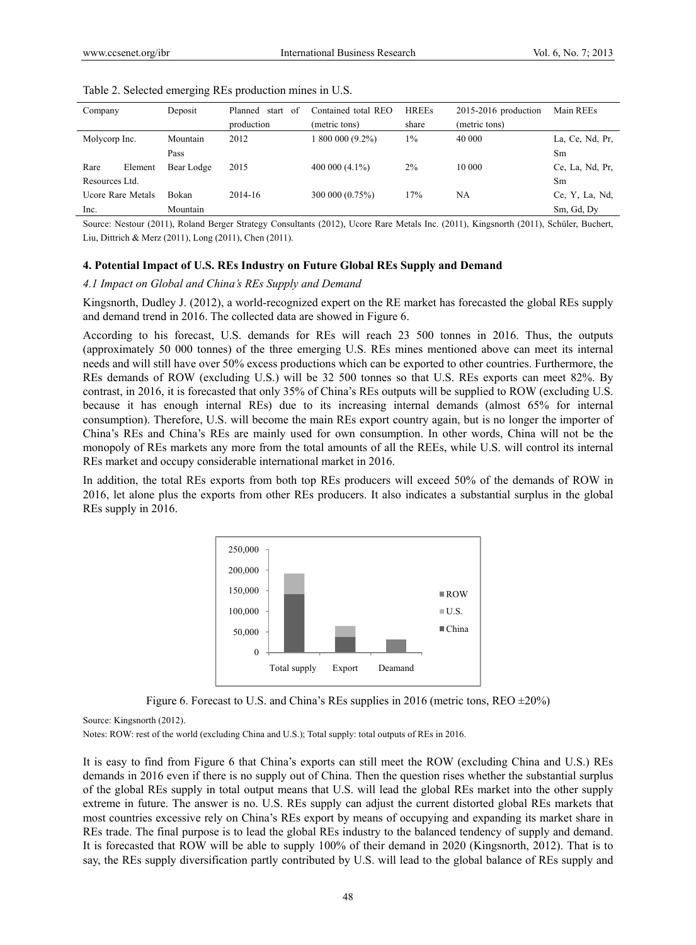| Company                  | Deposit    | start of<br>Planned | Contained total REO | <b>HREEs</b> | $2015-2016$ production | Main REEs       |
|--------------------------|------------|---------------------|---------------------|--------------|------------------------|-----------------|
|                          |            | production          | (metric tons)       | share        | (metric tons)          |                 |
| Molycorp Inc.            | Mountain   | 2012                | 1 800 000 (9.2%)    | $1\%$        | 40 000                 | La, Ce, Nd, Pr, |
|                          | Pass       |                     |                     |              |                        | Sm              |
| Rare<br>Element          | Bear Lodge | 2015                | $400000(4.1\%)$     | $2\%$        | 10 000                 | Ce, La, Nd, Pr, |
| Resources Ltd.           |            |                     |                     |              |                        | Sm              |
| <b>Ucore Rare Metals</b> | Bokan      | $2014 - 16$         | 300 000 (0.75%)     | 17%          | NA                     | Ce, Y, La, Nd,  |
| Inc.                     | Mountain   |                     |                     |              |                        | Sm, Gd, Dy      |

| Table 2. Selected emerging REs production mines in U.S. |  |  |  |  |  |  |  |  |
|---------------------------------------------------------|--|--|--|--|--|--|--|--|
|---------------------------------------------------------|--|--|--|--|--|--|--|--|

Source: Nestour (2011), Roland Berger Strategy Consultants (2012), Ucore Rare Metals Inc. (2011), Kingsnorth (2011), Schüler, Buchert, Liu, Dittrich & Merz (2011), Long (2011), Chen (2011).

#### **4. Potential Impact of U.S. REs Industry on Future Global REs Supply and Demand**

#### *4.1 Impact on Global and China's REs Supply and Demand*

Kingsnorth, Dudley J. (2012), a world-recognized expert on the RE market has forecasted the global REs supply and demand trend in 2016. The collected data are showed in Figure 6.

According to his forecast, U.S. demands for REs will reach 23 500 tonnes in 2016. Thus, the outputs (approximately 50 000 tonnes) of the three emerging U.S. REs mines mentioned above can meet its internal needs and will still have over 50% excess productions which can be exported to other countries. Furthermore, the REs demands of ROW (excluding U.S.) will be 32 500 tonnes so that U.S. REs exports can meet 82%. By contrast, in 2016, it is forecasted that only 35% of China's REs outputs will be supplied to ROW (excluding U.S. because it has enough internal REs) due to its increasing internal demands (almost 65% for internal consumption). Therefore, U.S. will become the main REs export country again, but is no longer the importer of China's REs and China's REs are mainly used for own consumption. In other words, China will not be the monopoly of REs markets any more from the total amounts of all the REEs, while U.S. will control its internal REs market and occupy considerable international market in 2016.

In addition, the total REs exports from both top REs producers will exceed 50% of the demands of ROW in 2016, let alone plus the exports from other REs producers. It also indicates a substantial surplus in the global REs supply in 2016.



Figure 6. Forecast to U.S. and China's REs supplies in 2016 (metric tons,  $REO = 20\%)$ 

Source: Kingsnorth (2012).

Notes: ROW: rest of the world (excluding China and U.S.); Total supply: total outputs of REs in 2016.

It is easy to find from Figure 6 that China's exports can still meet the ROW (excluding China and U.S.) REs demands in 2016 even if there is no supply out of China. Then the question rises whether the substantial surplus of the global REs supply in total output means that U.S. will lead the global REs market into the other supply extreme in future. The answer is no. U.S. REs supply can adjust the current distorted global REs markets that most countries excessive rely on China's REs export by means of occupying and expanding its market share in REs trade. The final purpose is to lead the global REs industry to the balanced tendency of supply and demand. It is forecasted that ROW will be able to supply 100% of their demand in 2020 (Kingsnorth, 2012). That is to say, the REs supply diversification partly contributed by U.S. will lead to the global balance of REs supply and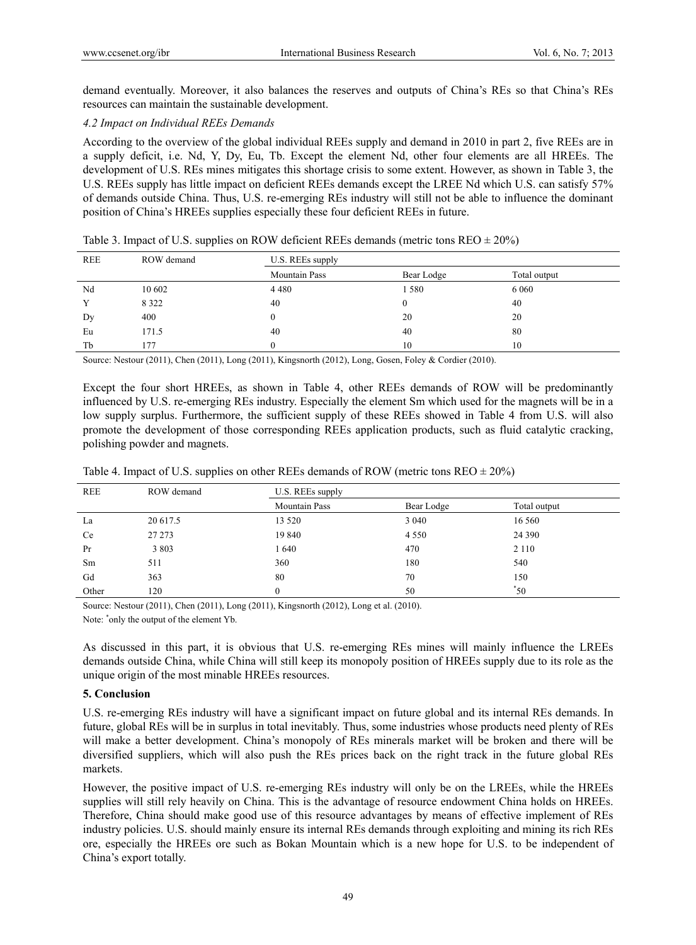demand eventually. Moreover, it also balances the reserves and outputs of China's REs so that China's REs resources can maintain the sustainable development.

## *4.2 Impact on Individual REEs Demands*

According to the overview of the global individual REEs supply and demand in 2010 in part 2, five REEs are in a supply deficit, i.e. Nd, Y, Dy, Eu, Tb. Except the element Nd, other four elements are all HREEs. The development of U.S. REs mines mitigates this shortage crisis to some extent. However, as shown in Table 3, the U.S. REEs supply has little impact on deficient REEs demands except the LREE Nd which U.S. can satisfy 57% of demands outside China. Thus, U.S. re-emerging REs industry will still not be able to influence the dominant position of China's HREEs supplies especially these four deficient REEs in future.

| <b>REE</b> | ROW demand | U.S. REEs supply     |            |              |
|------------|------------|----------------------|------------|--------------|
|            |            | <b>Mountain Pass</b> | Bear Lodge | Total output |
| Nd         | 10 602     | 4 4 8 0              | 1580       | 6 0 6 0      |
|            | 8 3 2 2    | 40                   |            | 40           |
| Dy         | 400        |                      | 20         | 20           |
| Eu         | 171.5      | 40                   | 40         | 80           |
| Tb         | 177        |                      | 10         | 10           |

Table 3. Impact of U.S. supplies on ROW deficient REEs demands (metric tons  $REO \pm 20\%$ )

Source: Nestour (2011), Chen (2011), Long (2011), Kingsnorth (2012), Long, Gosen, Foley & Cordier (2010).

Except the four short HREEs, as shown in Table 4, other REEs demands of ROW will be predominantly influenced by U.S. re-emerging REs industry. Especially the element Sm which used for the magnets will be in a low supply surplus. Furthermore, the sufficient supply of these REEs showed in Table 4 from U.S. will also promote the development of those corresponding REEs application products, such as fluid catalytic cracking, polishing powder and magnets.

|  | Table 4. Impact of U.S. supplies on other REEs demands of ROW (metric tons $REO \pm 20\%)$ |
|--|--------------------------------------------------------------------------------------------|
|  |                                                                                            |

| <b>REE</b> | ROW demand | U.S. REEs supply     |            |              |
|------------|------------|----------------------|------------|--------------|
|            |            | <b>Mountain Pass</b> | Bear Lodge | Total output |
| La         | 20 617.5   | 13 5 20              | 3 0 4 0    | 16 560       |
| Ce         | 27 27 3    | 19 840               | 4 5 5 0    | 24 3 9 0     |
| Pr         | 3803       | 1640                 | 470        | 2 1 1 0      |
| Sm         | 511        | 360                  | 180        | 540          |
| Gd         | 363        | 80                   | 70         | 150          |
| Other      | 120        | 0                    | 50         | $^*$ 50      |

Source: Nestour (2011), Chen (2011), Long (2011), Kingsnorth (2012), Long et al. (2010).

Note:  $\text{"only the output of the element Yb}.$ 

As discussed in this part, it is obvious that U.S. re-emerging REs mines will mainly influence the LREEs demands outside China, while China will still keep its monopoly position of HREEs supply due to its role as the unique origin of the most minable HREEs resources.

## **5. Conclusion**

U.S. re-emerging REs industry will have a significant impact on future global and its internal REs demands. In future, global REs will be in surplus in total inevitably. Thus, some industries whose products need plenty of REs will make a better development. China's monopoly of REs minerals market will be broken and there will be diversified suppliers, which will also push the REs prices back on the right track in the future global REs markets.

However, the positive impact of U.S. re-emerging REs industry will only be on the LREEs, while the HREEs supplies will still rely heavily on China. This is the advantage of resource endowment China holds on HREEs. Therefore, China should make good use of this resource advantages by means of effective implement of REs industry policies. U.S. should mainly ensure its internal REs demands through exploiting and mining its rich REs ore, especially the HREEs ore such as Bokan Mountain which is a new hope for U.S. to be independent of China's export totally.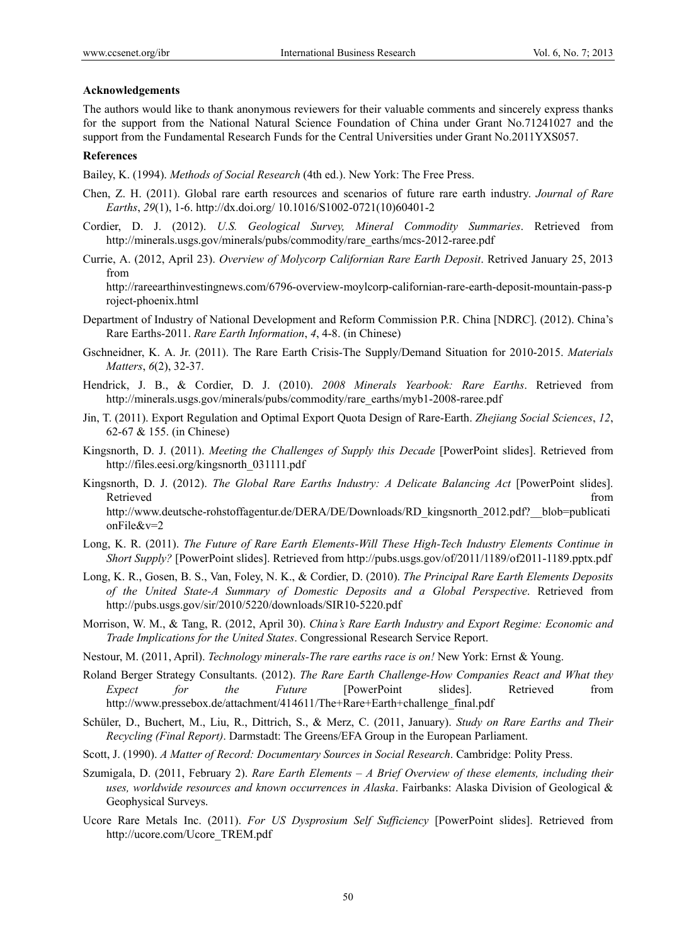#### **Acknowledgements**

The authors would like to thank anonymous reviewers for their valuable comments and sincerely express thanks for the support from the National Natural Science Foundation of China under Grant No.71241027 and the support from the Fundamental Research Funds for the Central Universities under Grant No.2011YXS057.

#### **References**

Bailey, K. (1994). *Methods of Social Research* (4th ed.). New York: The Free Press.

- Chen, Z. H. (2011). Global rare earth resources and scenarios of future rare earth industry. *Journal of Rare Earths*, *29*(1), 1-6. http://dx.doi.org/ 10.1016/S1002-0721(10)60401-2
- Cordier, D. J. (2012). *U.S. Geological Survey, Mineral Commodity Summaries*. Retrieved from http://minerals.usgs.gov/minerals/pubs/commodity/rare\_earths/mcs-2012-raree.pdf
- Currie, A. (2012, April 23). *Overview of Molycorp Californian Rare Earth Deposit*. Retrived January 25, 2013 from

http://rareearthinvestingnews.com/6796-overview-moylcorp-californian-rare-earth-deposit-mountain-pass-p roject-phoenix.html

- Department of Industry of National Development and Reform Commission P.R. China [NDRC]. (2012). China's Rare Earths-2011. *Rare Earth Information*, *4*, 4-8. (in Chinese)
- Gschneidner, K. A. Jr. (2011). The Rare Earth Crisis-The Supply/Demand Situation for 2010-2015. *Materials Matters*, *6*(2), 32-37.
- Hendrick, J. B., & Cordier, D. J. (2010). *2008 Minerals Yearbook: Rare Earths*. Retrieved from http://minerals.usgs.gov/minerals/pubs/commodity/rare\_earths/myb1-2008-raree.pdf
- Jin, T. (2011). Export Regulation and Optimal Export Quota Design of Rare-Earth. *Zhejiang Social Sciences*, *12*, 62-67 & 155. (in Chinese)
- Kingsnorth, D. J. (2011). *Meeting the Challenges of Supply this Decade* [PowerPoint slides]. Retrieved from http://files.eesi.org/kingsnorth\_031111.pdf
- Kingsnorth, D. J. (2012). *The Global Rare Earths Industry: A Delicate Balancing Act* [PowerPoint slides]. Retrieved that the contract of the contract of the contract of the contract of the contract of the contract of the contract of the contract of the contract of the contract of the contract of the contract of the contract of http://www.deutsche-rohstoffagentur.de/DERA/DE/Downloads/RD\_kingsnorth\_2012.pdf?\_\_blob=publicati onFile&v=2
- Long, K. R. (2011). *The Future of Rare Earth Elements-Will These High-Tech Industry Elements Continue in Short Supply?* [PowerPoint slides]. Retrieved from http://pubs.usgs.gov/of/2011/1189/of2011-1189.pptx.pdf
- Long, K. R., Gosen, B. S., Van, Foley, N. K., & Cordier, D. (2010). *The Principal Rare Earth Elements Deposits of the United State-A Summary of Domestic Deposits and a Global Perspective*. Retrieved from http://pubs.usgs.gov/sir/2010/5220/downloads/SIR10-5220.pdf
- Morrison, W. M., & Tang, R. (2012, April 30). *China's Rare Earth Industry and Export Regime: Economic and Trade Implications for the United States*. Congressional Research Service Report.
- Nestour, M. (2011, April). *Technology minerals-The rare earths race is on!* New York: Ernst & Young.
- Roland Berger Strategy Consultants. (2012). *The Rare Earth Challenge-How Companies React and What they Expect for the Future* [PowerPoint slides]. Retrieved from http://www.pressebox.de/attachment/414611/The+Rare+Earth+challenge\_final.pdf
- Schüler, D., Buchert, M., Liu, R., Dittrich, S., & Merz, C. (2011, January). *Study on Rare Earths and Their Recycling (Final Report)*. Darmstadt: The Greens/EFA Group in the European Parliament.
- Scott, J. (1990). *A Matter of Record: Documentary Sources in Social Research*. Cambridge: Polity Press.
- Szumigala, D. (2011, February 2). *Rare Earth Elements A Brief Overview of these elements, including their uses, worldwide resources and known occurrences in Alaska*. Fairbanks: Alaska Division of Geological & Geophysical Surveys.
- Ucore Rare Metals Inc. (2011). *For US Dysprosium Self Sufficiency* [PowerPoint slides]. Retrieved from http://ucore.com/Ucore\_TREM.pdf